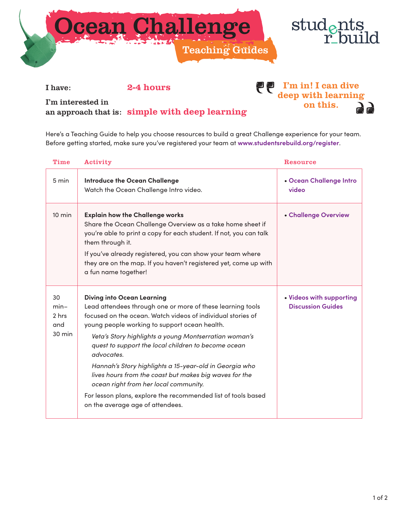



I'm in! I can dive deep with learning on this.

I have: 2-4 hours

I'm interested in an approach that is: simple with deep learning

Here's a Teaching Guide to help you choose resources to build a great Challenge experience for your team.

Time Activity Resource 5 min **Introduce the Ocean Challenge** Watch the Ocean Challenge Intro video. • **[Ocean Challenge Intro](https://youtu.be/BlOnsNfYvKU)  video** 10 min **Explain how the Challenge works** Share the Ocean Challenge Overview as a take home sheet if you're able to print a copy for each student. If not, you can talk them through it. If you've already registered, you can show your team where they are on the map. If you haven't registered yet, come up with a fun name together! • **[Challenge Overview](https://www.studentsrebuild.org/materials/ocean-challenge-fact-sheet)** 30 min– 2 hrs and 30 min **Diving into Ocean Learning** Lead attendees through one or more of these learning tools focused on the ocean. Watch videos of individual stories of young people working to support ocean health. *Veta's Story highlights a young Montserratian woman's quest to support the local children to become ocean advocates. Hannah's Story highlights a 15-year-old in Georgia who lives hours from the coast but makes big waves for the ocean right from her local community.* For lesson plans, explore the recommended list of tools based on the average age of attendees. • **[Videos with supporting](https://www.studentsrebuild.org/resources) Discussion Guides**

Before getting started, make sure you've registered your team at **[www.studentsrebuild.org/register](http://www.studentsrebuild.org/register)**.